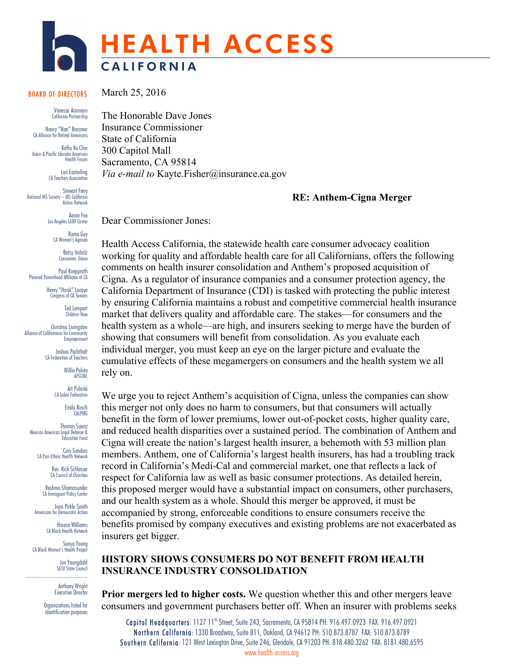

#### BOARD OF DIRECTORS

 Vanessa Aramayo California Partnership

Nancy "Nan" Brasmer CA Alliance for Retired Americans

Kathy Ko Chin Asian & Pacific Islander American Health Forum

Lori Easterling CA Teachers Association

Stewart Ferry National MS Society – MS California Action Network

> Aaron Fox Los Angeles LGBT Center

> > Roma Guy CA Women's Agenda

Betsy Imholz Consumers Union

Paul Knepprath Planned Parenthood Affiliates of CA

> Henry "Hank" Lacayo Congress of CA Seniors

> > Ted Lempert Children Now

Christina Livingston Alliance of Californians for Community Empowerment

> Joshua Pechthalt CA Federation of Teachers

> > Willie Pelote AFSCME

Art Pulaski CA Labor Federation

Emily Rusch CALPIRG

Thomas Saenz Mexican American Legal Defense & Education Fund

> Cary Sanders CA Pan-Ethnic Health Network

> > Rev. Rick Schlosser CA Council of Churches Reshma Shamasunder

CA Immigrant Policy Center

Joan Pirkle Smith Americans for Democratic Action

Horace Williams CA Black Health Network

Sonya Young CA Black Women's Health Project

Jon Youngdahl SEIU State Council

Anthony Wright Executive Director

Organizations listed for identification purposes The Honorable Dave Jones Insurance Commissioner State of California 300 Capitol Mall Sacramento, CA 95814 *Via e-mail to* Kayte.Fisher@insurance.ca.gov

#### **RE: Anthem-Cigna Merger**

Dear Commissioner Jones:

March 25, 2016

Health Access California, the statewide health care consumer advocacy coalition working for quality and affordable health care for all Californians, offers the following comments on health insurer consolidation and Anthem's proposed acquisition of Cigna. As a regulator of insurance companies and a consumer protection agency, the California Department of Insurance (CDI) is tasked with protecting the public interest by ensuring California maintains a robust and competitive commercial health insurance market that delivers quality and affordable care. The stakes—for consumers and the health system as a whole—are high, and insurers seeking to merge have the burden of showing that consumers will benefit from consolidation. As you evaluate each individual merger, you must keep an eye on the larger picture and evaluate the cumulative effects of these megamergers on consumers and the health system we all rely on.

We urge you to reject Anthem's acquisition of Cigna, unless the companies can show this merger not only does no harm to consumers, but that consumers will actually benefit in the form of lower premiums, lower out-of-pocket costs, higher quality care, and reduced health disparities over a sustained period. The combination of Anthem and Cigna will create the nation's largest health insurer, a behemoth with 53 million plan members. Anthem, one of California's largest health insurers, has had a troubling track record in California's Medi-Cal and commercial market, one that reflects a lack of respect for California law as well as basic consumer protections. As detailed herein, this proposed merger would have a substantial impact on consumers, other purchasers, and our health system as a whole. Should this merger be approved, it must be accompanied by strong, enforceable conditions to ensure consumers receive the benefits promised by company executives and existing problems are not exacerbated as insurers get bigger.

#### **HISTORY SHOWS CONSUMERS DO NOT BENEFIT FROM HEALTH INSURANCE INDUSTRY CONSOLIDATION**

**Prior mergers led to higher costs.** We question whether this and other mergers leave consumers and government purchasers better off. When an insurer with problems seeks

Capitol Headquarters: 1127 11<sup>th</sup> Street, Suite 243, Sacramento, CA 95814 PH: 916.497.0923 FAX: 916.497.0921 Northern California: 1330 Broadway, Suite 811, Oakland, CA 94612 PH: 510.873.8787 FAX: 510.873.8789 Southern California: 121 West Lexington Drive, Suite 246, Glendale, CA 91203 PH: 818.480.3262 FAX: 8181.480.6595 www.health-access.org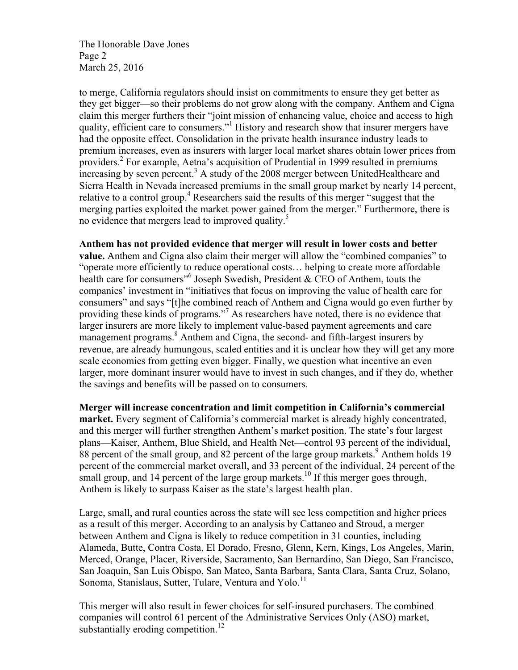The Honorable Dave Jones Page 2 March 25, 2016

to merge, California regulators should insist on commitments to ensure they get better as they get bigger—so their problems do not grow along with the company. Anthem and Cigna claim this merger furthers their "joint mission of enhancing value, choice and access to high quality, efficient care to consumers."<sup>1</sup> History and research show that insurer mergers have had the opposite effect. Consolidation in the private health insurance industry leads to premium increases, even as insurers with larger local market shares obtain lower prices from providers.2 For example, Aetna's acquisition of Prudential in 1999 resulted in premiums increasing by seven percent.<sup>3</sup> A study of the 2008 merger between UnitedHealthcare and Sierra Health in Nevada increased premiums in the small group market by nearly 14 percent, relative to a control group.<sup>4</sup> Researchers said the results of this merger "suggest that the merging parties exploited the market power gained from the merger." Furthermore, there is no evidence that mergers lead to improved quality.<sup>5</sup>

**Anthem has not provided evidence that merger will result in lower costs and better value.** Anthem and Cigna also claim their merger will allow the "combined companies" to "operate more efficiently to reduce operational costs… helping to create more affordable health care for consumers<sup> $16$ </sup> Joseph Swedish, President & CEO of Anthem, touts the companies' investment in "initiatives that focus on improving the value of health care for consumers" and says "[t]he combined reach of Anthem and Cigna would go even further by providing these kinds of programs."<sup>7</sup> As researchers have noted, there is no evidence that larger insurers are more likely to implement value-based payment agreements and care management programs.<sup>8</sup> Anthem and Cigna, the second- and fifth-largest insurers by revenue, are already humungous, scaled entities and it is unclear how they will get any more scale economies from getting even bigger. Finally, we question what incentive an even larger, more dominant insurer would have to invest in such changes, and if they do, whether the savings and benefits will be passed on to consumers.

**Merger will increase concentration and limit competition in California's commercial market.** Every segment of California's commercial market is already highly concentrated, and this merger will further strengthen Anthem's market position. The state's four largest plans—Kaiser, Anthem, Blue Shield, and Health Net—control 93 percent of the individual, 88 percent of the small group, and 82 percent of the large group markets.<sup>9</sup> Anthem holds 19 percent of the commercial market overall, and 33 percent of the individual, 24 percent of the small group, and 14 percent of the large group markets.<sup>10</sup> If this merger goes through, Anthem is likely to surpass Kaiser as the state's largest health plan.

Large, small, and rural counties across the state will see less competition and higher prices as a result of this merger. According to an analysis by Cattaneo and Stroud, a merger between Anthem and Cigna is likely to reduce competition in 31 counties, including Alameda, Butte, Contra Costa, El Dorado, Fresno, Glenn, Kern, Kings, Los Angeles, Marin, Merced, Orange, Placer, Riverside, Sacramento, San Bernardino, San Diego, San Francisco, San Joaquin, San Luis Obispo, San Mateo, Santa Barbara, Santa Clara, Santa Cruz, Solano, Sonoma, Stanislaus, Sutter, Tulare, Ventura and Yolo.<sup>11</sup>

This merger will also result in fewer choices for self-insured purchasers. The combined companies will control 61 percent of the Administrative Services Only (ASO) market, substantially eroding competition.<sup>12</sup>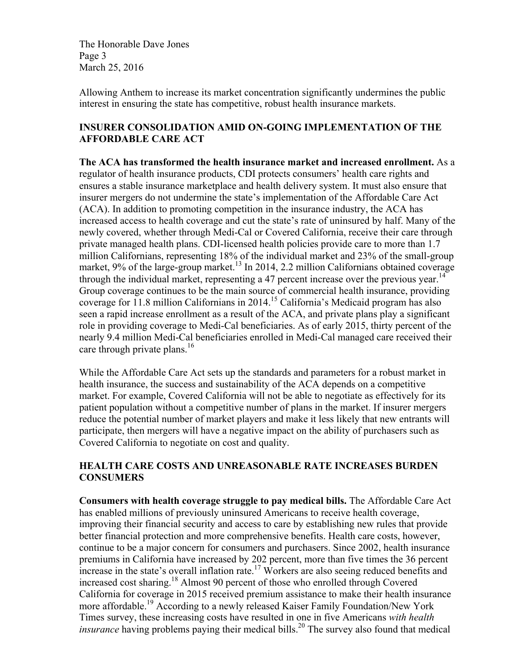The Honorable Dave Jones Page 3 March 25, 2016

Allowing Anthem to increase its market concentration significantly undermines the public interest in ensuring the state has competitive, robust health insurance markets.

## **INSURER CONSOLIDATION AMID ON-GOING IMPLEMENTATION OF THE AFFORDABLE CARE ACT**

**The ACA has transformed the health insurance market and increased enrollment.** As a regulator of health insurance products, CDI protects consumers' health care rights and ensures a stable insurance marketplace and health delivery system. It must also ensure that insurer mergers do not undermine the state's implementation of the Affordable Care Act (ACA). In addition to promoting competition in the insurance industry, the ACA has increased access to health coverage and cut the state's rate of uninsured by half. Many of the newly covered, whether through Medi-Cal or Covered California, receive their care through private managed health plans. CDI-licensed health policies provide care to more than 1.7 million Californians, representing 18% of the individual market and 23% of the small-group market, 9% of the large-group market.<sup>13</sup> In 2014, 2.2 million Californians obtained coverage through the individual market, representing a 47 percent increase over the previous year.<sup>14</sup> Group coverage continues to be the main source of commercial health insurance, providing coverage for 11.8 million Californians in 2014.<sup>15</sup> California's Medicaid program has also seen a rapid increase enrollment as a result of the ACA, and private plans play a significant role in providing coverage to Medi-Cal beneficiaries. As of early 2015, thirty percent of the nearly 9.4 million Medi-Cal beneficiaries enrolled in Medi-Cal managed care received their care through private plans.<sup>16</sup>

While the Affordable Care Act sets up the standards and parameters for a robust market in health insurance, the success and sustainability of the ACA depends on a competitive market. For example, Covered California will not be able to negotiate as effectively for its patient population without a competitive number of plans in the market. If insurer mergers reduce the potential number of market players and make it less likely that new entrants will participate, then mergers will have a negative impact on the ability of purchasers such as Covered California to negotiate on cost and quality.

### **HEALTH CARE COSTS AND UNREASONABLE RATE INCREASES BURDEN CONSUMERS**

**Consumers with health coverage struggle to pay medical bills.** The Affordable Care Act has enabled millions of previously uninsured Americans to receive health coverage, improving their financial security and access to care by establishing new rules that provide better financial protection and more comprehensive benefits. Health care costs, however, continue to be a major concern for consumers and purchasers. Since 2002, health insurance premiums in California have increased by 202 percent, more than five times the 36 percent increase in the state's overall inflation rate.<sup>17</sup> Workers are also seeing reduced benefits and increased cost sharing.<sup>18</sup> Almost 90 percent of those who enrolled through Covered California for coverage in 2015 received premium assistance to make their health insurance more affordable.19 According to a newly released Kaiser Family Foundation/New York Times survey, these increasing costs have resulted in one in five Americans *with health insurance* having problems paying their medical bills.<sup>20</sup> The survey also found that medical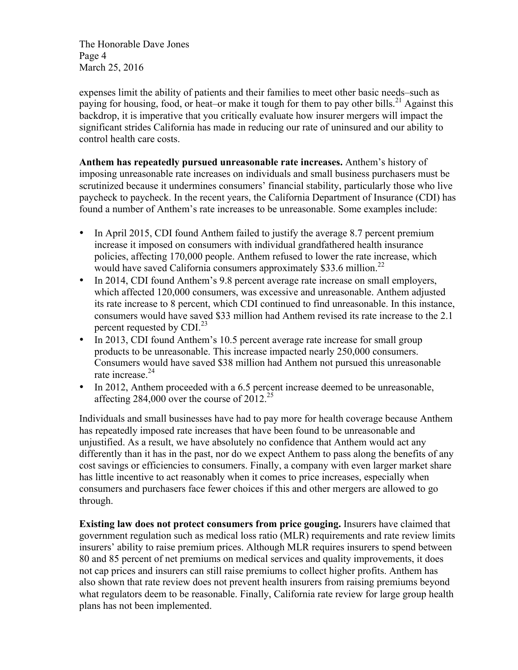The Honorable Dave Jones Page 4 March 25, 2016

expenses limit the ability of patients and their families to meet other basic needs–such as paying for housing, food, or heat–or make it tough for them to pay other bills.<sup>21</sup> Against this backdrop, it is imperative that you critically evaluate how insurer mergers will impact the significant strides California has made in reducing our rate of uninsured and our ability to control health care costs.

**Anthem has repeatedly pursued unreasonable rate increases.** Anthem's history of imposing unreasonable rate increases on individuals and small business purchasers must be scrutinized because it undermines consumers' financial stability, particularly those who live paycheck to paycheck. In the recent years, the California Department of Insurance (CDI) has found a number of Anthem's rate increases to be unreasonable. Some examples include:

- In April 2015, CDI found Anthem failed to justify the average 8.7 percent premium increase it imposed on consumers with individual grandfathered health insurance policies, affecting 170,000 people. Anthem refused to lower the rate increase, which would have saved California consumers approximately \$33.6 million.<sup>22</sup>
- In 2014, CDI found Anthem's 9.8 percent average rate increase on small employers, which affected 120,000 consumers, was excessive and unreasonable. Anthem adjusted its rate increase to 8 percent, which CDI continued to find unreasonable. In this instance, consumers would have saved \$33 million had Anthem revised its rate increase to the 2.1 percent requested by  $CDI<sup>23</sup>$
- In 2013, CDI found Anthem's 10.5 percent average rate increase for small group products to be unreasonable. This increase impacted nearly 250,000 consumers. Consumers would have saved \$38 million had Anthem not pursued this unreasonable rate increase<sup>24</sup>
- In 2012, Anthem proceeded with a 6.5 percent increase deemed to be unreasonable, affecting  $284,000$  over the course of  $2012^{25}$

Individuals and small businesses have had to pay more for health coverage because Anthem has repeatedly imposed rate increases that have been found to be unreasonable and unjustified. As a result, we have absolutely no confidence that Anthem would act any differently than it has in the past, nor do we expect Anthem to pass along the benefits of any cost savings or efficiencies to consumers. Finally, a company with even larger market share has little incentive to act reasonably when it comes to price increases, especially when consumers and purchasers face fewer choices if this and other mergers are allowed to go through.

**Existing law does not protect consumers from price gouging.** Insurers have claimed that government regulation such as medical loss ratio (MLR) requirements and rate review limits insurers' ability to raise premium prices. Although MLR requires insurers to spend between 80 and 85 percent of net premiums on medical services and quality improvements, it does not cap prices and insurers can still raise premiums to collect higher profits. Anthem has also shown that rate review does not prevent health insurers from raising premiums beyond what regulators deem to be reasonable. Finally, California rate review for large group health plans has not been implemented.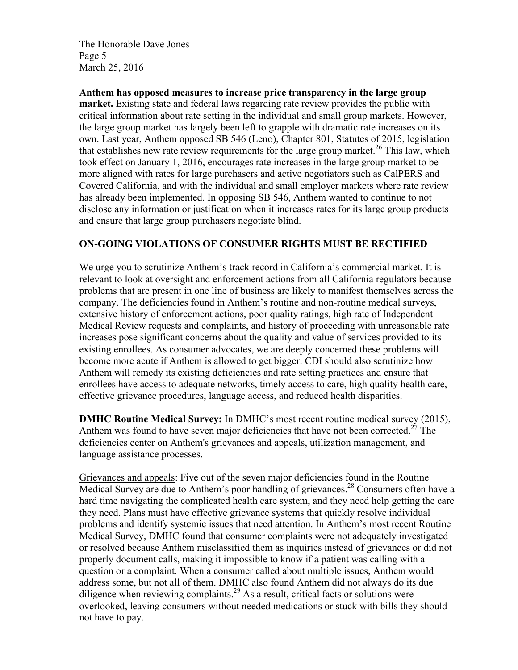The Honorable Dave Jones Page 5 March 25, 2016

**Anthem has opposed measures to increase price transparency in the large group market.** Existing state and federal laws regarding rate review provides the public with critical information about rate setting in the individual and small group markets. However, the large group market has largely been left to grapple with dramatic rate increases on its own. Last year, Anthem opposed SB 546 (Leno), Chapter 801, Statutes of 2015, legislation that establishes new rate review requirements for the large group market.<sup>26</sup> This law, which took effect on January 1, 2016, encourages rate increases in the large group market to be more aligned with rates for large purchasers and active negotiators such as CalPERS and Covered California, and with the individual and small employer markets where rate review has already been implemented. In opposing SB 546, Anthem wanted to continue to not disclose any information or justification when it increases rates for its large group products and ensure that large group purchasers negotiate blind.

### **ON-GOING VIOLATIONS OF CONSUMER RIGHTS MUST BE RECTIFIED**

We urge you to scrutinize Anthem's track record in California's commercial market. It is relevant to look at oversight and enforcement actions from all California regulators because problems that are present in one line of business are likely to manifest themselves across the company. The deficiencies found in Anthem's routine and non-routine medical surveys, extensive history of enforcement actions, poor quality ratings, high rate of Independent Medical Review requests and complaints, and history of proceeding with unreasonable rate increases pose significant concerns about the quality and value of services provided to its existing enrollees. As consumer advocates, we are deeply concerned these problems will become more acute if Anthem is allowed to get bigger. CDI should also scrutinize how Anthem will remedy its existing deficiencies and rate setting practices and ensure that enrollees have access to adequate networks, timely access to care, high quality health care, effective grievance procedures, language access, and reduced health disparities.

**DMHC Routine Medical Survey:** In DMHC's most recent routine medical survey (2015), Anthem was found to have seven major deficiencies that have not been corrected.<sup>27</sup> The deficiencies center on Anthem's grievances and appeals, utilization management, and language assistance processes.

Grievances and appeals: Five out of the seven major deficiencies found in the Routine Medical Survey are due to Anthem's poor handling of grievances.<sup>28</sup> Consumers often have a hard time navigating the complicated health care system, and they need help getting the care they need. Plans must have effective grievance systems that quickly resolve individual problems and identify systemic issues that need attention. In Anthem's most recent Routine Medical Survey, DMHC found that consumer complaints were not adequately investigated or resolved because Anthem misclassified them as inquiries instead of grievances or did not properly document calls, making it impossible to know if a patient was calling with a question or a complaint. When a consumer called about multiple issues, Anthem would address some, but not all of them. DMHC also found Anthem did not always do its due diligence when reviewing complaints.<sup>29</sup> As a result, critical facts or solutions were overlooked, leaving consumers without needed medications or stuck with bills they should not have to pay.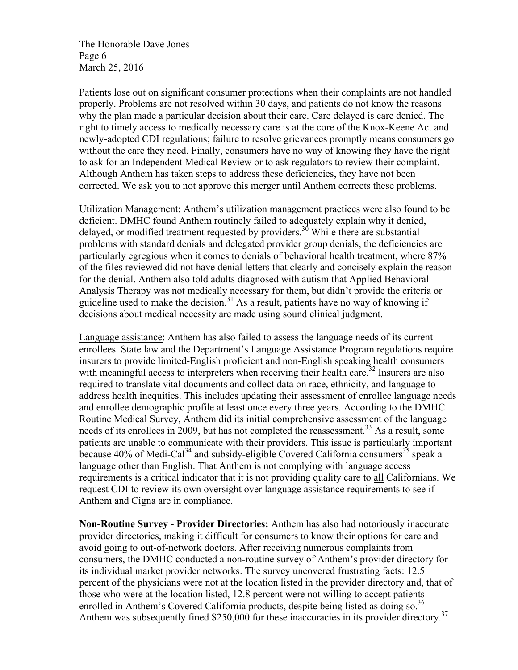The Honorable Dave Jones Page 6 March 25, 2016

Patients lose out on significant consumer protections when their complaints are not handled properly. Problems are not resolved within 30 days, and patients do not know the reasons why the plan made a particular decision about their care. Care delayed is care denied. The right to timely access to medically necessary care is at the core of the Knox-Keene Act and newly-adopted CDI regulations; failure to resolve grievances promptly means consumers go without the care they need. Finally, consumers have no way of knowing they have the right to ask for an Independent Medical Review or to ask regulators to review their complaint. Although Anthem has taken steps to address these deficiencies, they have not been corrected. We ask you to not approve this merger until Anthem corrects these problems.

Utilization Management: Anthem's utilization management practices were also found to be deficient. DMHC found Anthem routinely failed to adequately explain why it denied, delayed, or modified treatment requested by providers.<sup>30</sup> While there are substantial problems with standard denials and delegated provider group denials, the deficiencies are particularly egregious when it comes to denials of behavioral health treatment, where 87% of the files reviewed did not have denial letters that clearly and concisely explain the reason for the denial. Anthem also told adults diagnosed with autism that Applied Behavioral Analysis Therapy was not medically necessary for them, but didn't provide the criteria or guideline used to make the decision.<sup>31</sup> As a result, patients have no way of knowing if decisions about medical necessity are made using sound clinical judgment.

Language assistance: Anthem has also failed to assess the language needs of its current enrollees. State law and the Department's Language Assistance Program regulations require insurers to provide limited-English proficient and non-English speaking health consumers with meaningful access to interpreters when receiving their health care.<sup>32</sup> Insurers are also required to translate vital documents and collect data on race, ethnicity, and language to address health inequities. This includes updating their assessment of enrollee language needs and enrollee demographic profile at least once every three years. According to the DMHC Routine Medical Survey, Anthem did its initial comprehensive assessment of the language needs of its enrollees in 2009, but has not completed the reassessment.<sup>33</sup> As a result, some patients are unable to communicate with their providers. This issue is particularly important because  $40\%$  of Medi-Cal<sup>34</sup> and subsidy-eligible Covered California consumers<sup>35</sup> speak a language other than English. That Anthem is not complying with language access requirements is a critical indicator that it is not providing quality care to all Californians. We request CDI to review its own oversight over language assistance requirements to see if Anthem and Cigna are in compliance.

**Non-Routine Survey - Provider Directories:** Anthem has also had notoriously inaccurate provider directories, making it difficult for consumers to know their options for care and avoid going to out-of-network doctors. After receiving numerous complaints from consumers, the DMHC conducted a non-routine survey of Anthem's provider directory for its individual market provider networks. The survey uncovered frustrating facts: 12.5 percent of the physicians were not at the location listed in the provider directory and, that of those who were at the location listed, 12.8 percent were not willing to accept patients enrolled in Anthem's Covered California products, despite being listed as doing so.<sup>36</sup> Anthem was subsequently fined \$250,000 for these inaccuracies in its provider directory.<sup>37</sup>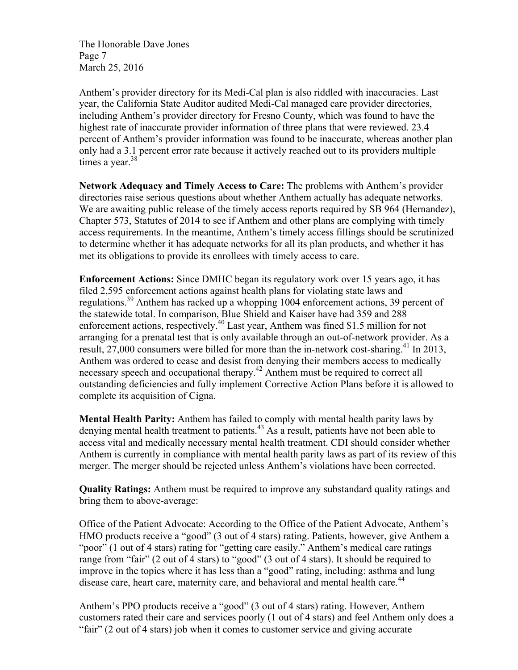The Honorable Dave Jones Page 7 March 25, 2016

Anthem's provider directory for its Medi-Cal plan is also riddled with inaccuracies. Last year, the California State Auditor audited Medi-Cal managed care provider directories, including Anthem's provider directory for Fresno County, which was found to have the highest rate of inaccurate provider information of three plans that were reviewed. 23.4 percent of Anthem's provider information was found to be inaccurate, whereas another plan only had a 3.1 percent error rate because it actively reached out to its providers multiple times a year. $38$ 

**Network Adequacy and Timely Access to Care:** The problems with Anthem's provider directories raise serious questions about whether Anthem actually has adequate networks. We are awaiting public release of the timely access reports required by SB 964 (Hernandez), Chapter 573, Statutes of 2014 to see if Anthem and other plans are complying with timely access requirements. In the meantime, Anthem's timely access fillings should be scrutinized to determine whether it has adequate networks for all its plan products, and whether it has met its obligations to provide its enrollees with timely access to care.

**Enforcement Actions:** Since DMHC began its regulatory work over 15 years ago, it has filed 2,595 enforcement actions against health plans for violating state laws and regulations.<sup>39</sup> Anthem has racked up a whopping 1004 enforcement actions, 39 percent of the statewide total. In comparison, Blue Shield and Kaiser have had 359 and 288 enforcement actions, respectively.<sup>40</sup> Last year, Anthem was fined \$1.5 million for not arranging for a prenatal test that is only available through an out-of-network provider. As a result, 27,000 consumers were billed for more than the in-network cost-sharing.<sup>41</sup> In 2013, Anthem was ordered to cease and desist from denying their members access to medically necessary speech and occupational therapy.<sup>42</sup> Anthem must be required to correct all outstanding deficiencies and fully implement Corrective Action Plans before it is allowed to complete its acquisition of Cigna.

**Mental Health Parity:** Anthem has failed to comply with mental health parity laws by denying mental health treatment to patients.<sup>43</sup> As a result, patients have not been able to access vital and medically necessary mental health treatment. CDI should consider whether Anthem is currently in compliance with mental health parity laws as part of its review of this merger. The merger should be rejected unless Anthem's violations have been corrected.

**Quality Ratings:** Anthem must be required to improve any substandard quality ratings and bring them to above-average:

Office of the Patient Advocate: According to the Office of the Patient Advocate, Anthem's HMO products receive a "good" (3 out of 4 stars) rating. Patients, however, give Anthem a "poor" (1 out of 4 stars) rating for "getting care easily." Anthem's medical care ratings range from "fair" (2 out of 4 stars) to "good" (3 out of 4 stars). It should be required to improve in the topics where it has less than a "good" rating, including: asthma and lung disease care, heart care, maternity care, and behavioral and mental health care.<sup>44</sup>

Anthem's PPO products receive a "good" (3 out of 4 stars) rating. However, Anthem customers rated their care and services poorly (1 out of 4 stars) and feel Anthem only does a "fair" (2 out of 4 stars) job when it comes to customer service and giving accurate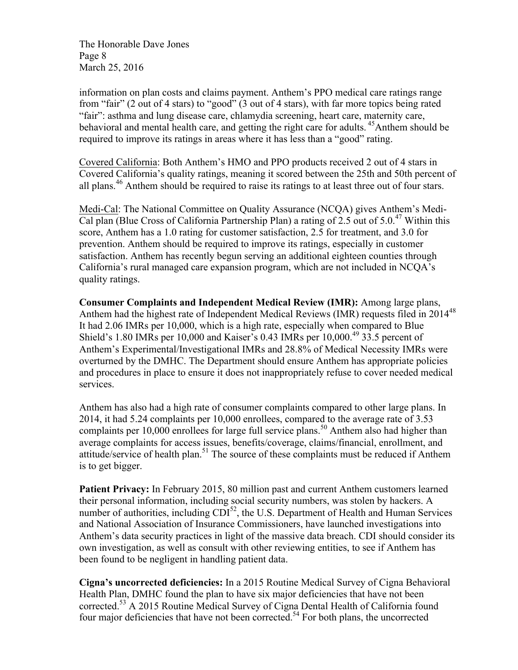The Honorable Dave Jones Page 8 March 25, 2016

information on plan costs and claims payment. Anthem's PPO medical care ratings range from "fair" (2 out of 4 stars) to "good" (3 out of 4 stars), with far more topics being rated "fair": asthma and lung disease care, chlamydia screening, heart care, maternity care, behavioral and mental health care, and getting the right care for adults. <sup>45</sup>Anthem should be required to improve its ratings in areas where it has less than a "good" rating.

Covered California: Both Anthem's HMO and PPO products received 2 out of 4 stars in Covered California's quality ratings, meaning it scored between the 25th and 50th percent of all plans.<sup>46</sup> Anthem should be required to raise its ratings to at least three out of four stars.

Medi-Cal: The National Committee on Quality Assurance (NCQA) gives Anthem's Medi-Cal plan (Blue Cross of California Partnership Plan) a rating of 2.5 out of 5.0.<sup>47</sup> Within this score, Anthem has a 1.0 rating for customer satisfaction, 2.5 for treatment, and 3.0 for prevention. Anthem should be required to improve its ratings, especially in customer satisfaction. Anthem has recently begun serving an additional eighteen counties through California's rural managed care expansion program, which are not included in NCQA's quality ratings.

**Consumer Complaints and Independent Medical Review (IMR):** Among large plans, Anthem had the highest rate of Independent Medical Reviews (IMR) requests filed in 2014<sup>48</sup> It had 2.06 IMRs per 10,000, which is a high rate, especially when compared to Blue Shield's 1.80 IMRs per 10,000 and Kaiser's 0.43 IMRs per  $10,000$ <sup>49</sup> 33.5 percent of Anthem's Experimental/Investigational IMRs and 28.8% of Medical Necessity IMRs were overturned by the DMHC. The Department should ensure Anthem has appropriate policies and procedures in place to ensure it does not inappropriately refuse to cover needed medical services.

Anthem has also had a high rate of consumer complaints compared to other large plans. In 2014, it had 5.24 complaints per 10,000 enrollees, compared to the average rate of 3.53 complaints per 10,000 enrollees for large full service plans.<sup>50</sup> Anthem also had higher than average complaints for access issues, benefits/coverage, claims/financial, enrollment, and attitude/service of health plan.<sup>51</sup> The source of these complaints must be reduced if Anthem is to get bigger.

**Patient Privacy:** In February 2015, 80 million past and current Anthem customers learned their personal information, including social security numbers, was stolen by hackers. A number of authorities, including  $CDI^{52}$ , the U.S. Department of Health and Human Services and National Association of Insurance Commissioners, have launched investigations into Anthem's data security practices in light of the massive data breach. CDI should consider its own investigation, as well as consult with other reviewing entities, to see if Anthem has been found to be negligent in handling patient data.

**Cigna's uncorrected deficiencies:** In a 2015 Routine Medical Survey of Cigna Behavioral Health Plan, DMHC found the plan to have six major deficiencies that have not been corrected.53 A 2015 Routine Medical Survey of Cigna Dental Health of California found four major deficiencies that have not been corrected.<sup>54</sup> For both plans, the uncorrected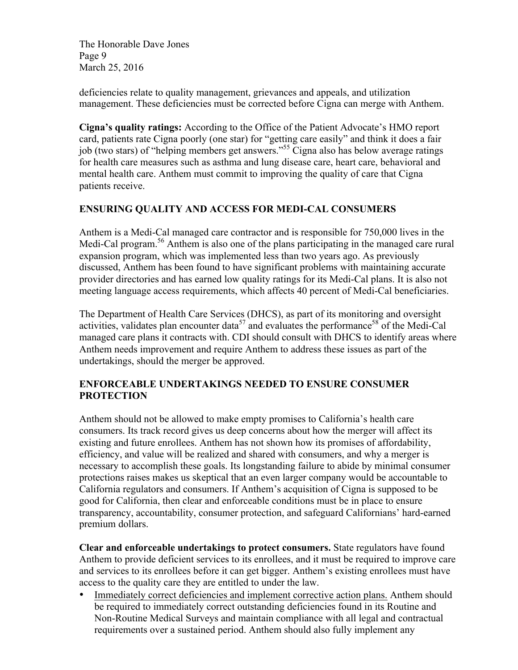The Honorable Dave Jones Page 9 March 25, 2016

deficiencies relate to quality management, grievances and appeals, and utilization management. These deficiencies must be corrected before Cigna can merge with Anthem.

**Cigna's quality ratings:** According to the Office of the Patient Advocate's HMO report card, patients rate Cigna poorly (one star) for "getting care easily" and think it does a fair job (two stars) of "helping members get answers."55 Cigna also has below average ratings for health care measures such as asthma and lung disease care, heart care, behavioral and mental health care. Anthem must commit to improving the quality of care that Cigna patients receive.

# **ENSURING QUALITY AND ACCESS FOR MEDI-CAL CONSUMERS**

Anthem is a Medi-Cal managed care contractor and is responsible for 750,000 lives in the Medi-Cal program.<sup>56</sup> Anthem is also one of the plans participating in the managed care rural expansion program, which was implemented less than two years ago. As previously discussed, Anthem has been found to have significant problems with maintaining accurate provider directories and has earned low quality ratings for its Medi-Cal plans. It is also not meeting language access requirements, which affects 40 percent of Medi-Cal beneficiaries.

The Department of Health Care Services (DHCS), as part of its monitoring and oversight activities, validates plan encounter data<sup>57</sup> and evaluates the performance<sup>58</sup> of the Medi-Cal managed care plans it contracts with. CDI should consult with DHCS to identify areas where Anthem needs improvement and require Anthem to address these issues as part of the undertakings, should the merger be approved.

### **ENFORCEABLE UNDERTAKINGS NEEDED TO ENSURE CONSUMER PROTECTION**

Anthem should not be allowed to make empty promises to California's health care consumers. Its track record gives us deep concerns about how the merger will affect its existing and future enrollees. Anthem has not shown how its promises of affordability, efficiency, and value will be realized and shared with consumers, and why a merger is necessary to accomplish these goals. Its longstanding failure to abide by minimal consumer protections raises makes us skeptical that an even larger company would be accountable to California regulators and consumers. If Anthem's acquisition of Cigna is supposed to be good for California, then clear and enforceable conditions must be in place to ensure transparency, accountability, consumer protection, and safeguard Californians' hard-earned premium dollars.

**Clear and enforceable undertakings to protect consumers.** State regulators have found Anthem to provide deficient services to its enrollees, and it must be required to improve care and services to its enrollees before it can get bigger. Anthem's existing enrollees must have access to the quality care they are entitled to under the law.

• Immediately correct deficiencies and implement corrective action plans. Anthem should be required to immediately correct outstanding deficiencies found in its Routine and Non-Routine Medical Surveys and maintain compliance with all legal and contractual requirements over a sustained period. Anthem should also fully implement any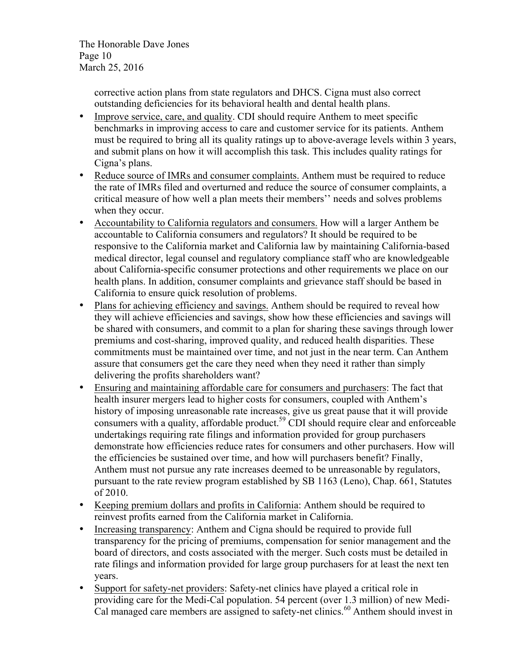The Honorable Dave Jones Page 10 March 25, 2016

> corrective action plans from state regulators and DHCS. Cigna must also correct outstanding deficiencies for its behavioral health and dental health plans.

- Improve service, care, and quality. CDI should require Anthem to meet specific benchmarks in improving access to care and customer service for its patients. Anthem must be required to bring all its quality ratings up to above-average levels within 3 years, and submit plans on how it will accomplish this task. This includes quality ratings for Cigna's plans.
- Reduce source of IMRs and consumer complaints. Anthem must be required to reduce the rate of IMRs filed and overturned and reduce the source of consumer complaints, a critical measure of how well a plan meets their members'' needs and solves problems when they occur.
- Accountability to California regulators and consumers. How will a larger Anthem be accountable to California consumers and regulators? It should be required to be responsive to the California market and California law by maintaining California-based medical director, legal counsel and regulatory compliance staff who are knowledgeable about California-specific consumer protections and other requirements we place on our health plans. In addition, consumer complaints and grievance staff should be based in California to ensure quick resolution of problems.
- Plans for achieving efficiency and savings. Anthem should be required to reveal how they will achieve efficiencies and savings, show how these efficiencies and savings will be shared with consumers, and commit to a plan for sharing these savings through lower premiums and cost-sharing, improved quality, and reduced health disparities. These commitments must be maintained over time, and not just in the near term. Can Anthem assure that consumers get the care they need when they need it rather than simply delivering the profits shareholders want?
- Ensuring and maintaining affordable care for consumers and purchasers: The fact that health insurer mergers lead to higher costs for consumers, coupled with Anthem's history of imposing unreasonable rate increases, give us great pause that it will provide consumers with a quality, affordable product.<sup>59</sup> CDI should require clear and enforceable undertakings requiring rate filings and information provided for group purchasers demonstrate how efficiencies reduce rates for consumers and other purchasers. How will the efficiencies be sustained over time, and how will purchasers benefit? Finally, Anthem must not pursue any rate increases deemed to be unreasonable by regulators, pursuant to the rate review program established by SB 1163 (Leno), Chap. 661, Statutes of 2010.
- Keeping premium dollars and profits in California: Anthem should be required to reinvest profits earned from the California market in California.
- Increasing transparency: Anthem and Cigna should be required to provide full transparency for the pricing of premiums, compensation for senior management and the board of directors, and costs associated with the merger. Such costs must be detailed in rate filings and information provided for large group purchasers for at least the next ten years.
- Support for safety-net providers: Safety-net clinics have played a critical role in providing care for the Medi-Cal population. 54 percent (over 1.3 million) of new Medi-Cal managed care members are assigned to safety-net clinics.<sup>60</sup> Anthem should invest in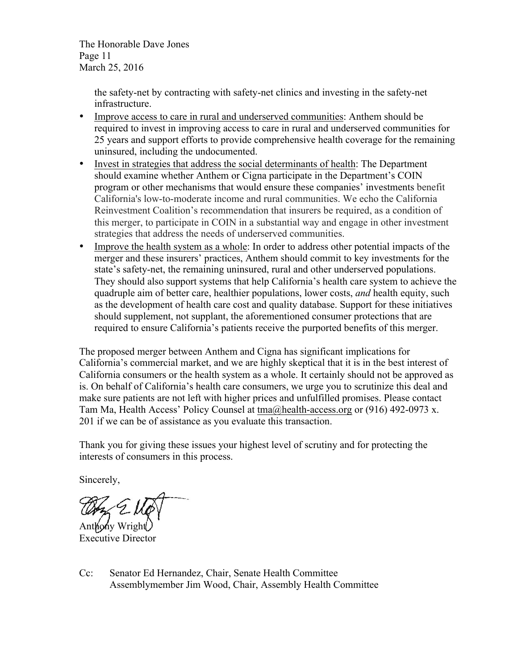The Honorable Dave Jones Page 11 March 25, 2016

> the safety-net by contracting with safety-net clinics and investing in the safety-net infrastructure.

- Improve access to care in rural and underserved communities: Anthem should be required to invest in improving access to care in rural and underserved communities for 25 years and support efforts to provide comprehensive health coverage for the remaining uninsured, including the undocumented.
- Invest in strategies that address the social determinants of health: The Department should examine whether Anthem or Cigna participate in the Department's COIN program or other mechanisms that would ensure these companies' investments benefit California's low-to-moderate income and rural communities. We echo the California Reinvestment Coalition's recommendation that insurers be required, as a condition of this merger, to participate in COIN in a substantial way and engage in other investment strategies that address the needs of underserved communities.
- Improve the health system as a whole: In order to address other potential impacts of the merger and these insurers' practices, Anthem should commit to key investments for the state's safety-net, the remaining uninsured, rural and other underserved populations. They should also support systems that help California's health care system to achieve the quadruple aim of better care, healthier populations, lower costs, *and* health equity, such as the development of health care cost and quality database. Support for these initiatives should supplement, not supplant, the aforementioned consumer protections that are required to ensure California's patients receive the purported benefits of this merger.

The proposed merger between Anthem and Cigna has significant implications for California's commercial market, and we are highly skeptical that it is in the best interest of California consumers or the health system as a whole. It certainly should not be approved as is. On behalf of California's health care consumers, we urge you to scrutinize this deal and make sure patients are not left with higher prices and unfulfilled promises. Please contact Tam Ma, Health Access' Policy Counsel at tma@health-access.org or (916) 492-0973 x. 201 if we can be of assistance as you evaluate this transaction.

Thank you for giving these issues your highest level of scrutiny and for protecting the interests of consumers in this process.

Sincerely,

Anthony Wright Executive Director

Cc: Senator Ed Hernandez, Chair, Senate Health Committee Assemblymember Jim Wood, Chair, Assembly Health Committee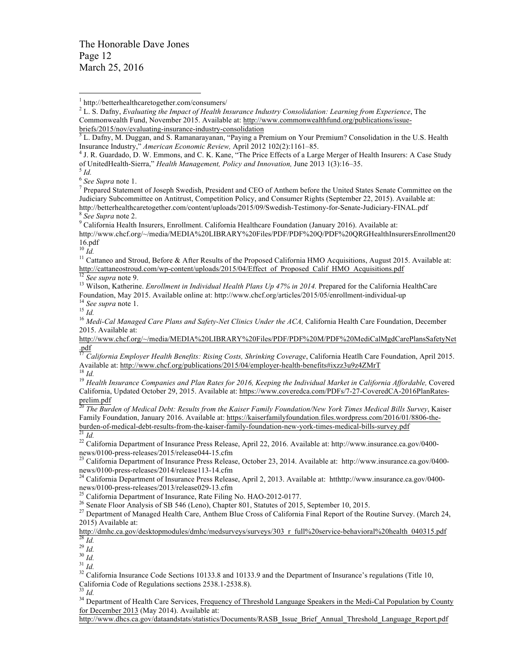The Honorable Dave Jones Page 12 March 25, 2016

<sup>2</sup> L. S. Dafny, *Evaluating the Impact of Health Insurance Industry Consolidation: Learning from Experience*, The Commonwealth Fund, November 2015. Available at: http://www.commonwealthfund.org/publications/issue-

of UnitedHealth-Sierra," *Health Management, Policy and Innovation, June 2013* 1(3):16–35.<br><sup>5</sup> *Id.* (See Supra note 1.

<sup>7</sup> Prepared Statement of Joseph Swedish, President and CEO of Anthem before the United States Senate Committee on the Judiciary Subcommittee on Antitrust, Competition Policy, and Consumer Rights (September 22, 2015). Available at: http://betterhealthcaretogether.com/content/uploads/2015/09/Swedish-Testimony-for-Senate-Judiciary-FINAL.pdf <br><sup>8</sup> See Supra note 2.<br>9 California Health Insurers, Enrollment. California Healthcare Foundation (January 2016).

http://www.chcf.org/~/media/MEDIA%20LIBRARY%20Files/PDF/PDF%20Q/PDF%20QRGHealthInsurersEnrollment20

16.pdf<br> $\frac{10}{10}$  *Id.* 

<sup>11</sup> Cattaneo and Stroud, Before & After Results of the Proposed California HMO Acquisitions, August 2015. Available at:<br>http://cattaneostroud.com/wp-content/uploads/2015/04/Effect of Proposed Calif HMO Acquisitions.pdf

<sup>12</sup> See supra note 9.<br><sup>13</sup> Wilson, Katherine. *Enrollment in Individual Health Plans Up 47% in 2014*. Prepared for the California HealthCare Foundation, May 2015. Available online at: http://www.chcf.org/articles/2015/05/enrollment-individual-up<br><sup>14</sup> See supra note 1.<br><sup>15</sup> Id.<br><sup>16</sup> Medi-Cal Managed Care Plans and Safety-Net Clinics Under the ACA, California Hea

2015. Available at:

http://www.chcf.org/~/media/MEDIA%20LIBRARY%20Files/PDF/PDF%20M/PDF%20MediCalMgdCarePlansSafetyNet .pdf

<sup>17</sup> *California Employer Health Benefits: Rising Costs, Shrinking Coverage*, California Heatlh Care Foundation, April 2015. Available at: http://www.chcf.org/publications/2015/04/employer-health-benefits#ixzz3u9z4ZMrT<br><sup>18</sup> Id.<br><sup>19</sup> Health Insurance Companies and Plan Rates for 2016, Keeping the Individual Market in California Affordable, Covere

California, Updated October 29, 2015. Available at: https://www.coveredca.com/PDFs/7-27-CoveredCA-2016PlanRatesprelim.pdf

<sup>20</sup> *The Burden of Medical Debt: Results from the Kaiser Family Foundation/New York Times Medical Bills Survey*, Kaiser Family Foundation, January 2016. Available at: https://kaiserfamilyfoundation.files.wordpress.com/2016/01/8806-the-<br>burden-of-medical-debt-results-from-the-kaiser-family-foundation-new-york-times-medical-bills-survey.pdf<br>

<sup>21</sup> *Id.*<br><sup>22</sup> California Department of Insurance Press Release, April 22, 2016. Available at: http://www.insurance.ca.gov/0400-<br>news/0100-press-releases/2015/release044-15.cfm

<sup>23</sup> California Department of Insurance Press Release, October 23, 2014. Available at: http://www.insurance.ca.gov/0400-<br>news/0100-press-releases/2014/release113-14.cfm

<sup>24</sup> California Department of Insurance Press Release, April 2, 2013. Available at: htthttp://www.insurance.ca.gov/0400-<br>news/0100-press-releases/2013/release029-13.cfm<br> $\frac{25}{125}$  CMS

<sup>25</sup> California Department of Insurance, Rate Filing No. HAO-2012-0177.<br><sup>26</sup> Senate Floor Analysis of SB 546 (Leno), Chapter 801, Statutes of 2015, September 10, 2015.<br><sup>27</sup> Department of Managed Health Care, Anthem Blue Cr 2015) Available at:

http://dmhc.ca.gov/desktopmodules/dmhc/medsurveys/surveys/303 r full%20service-behavioral%20health 040315.pdf<br><sup>28</sup> Id.<br><sup>29</sup> Id.<br><sup>30</sup> Id.<br><sup>31</sup> Id.<br><sup>32</sup> California Insurance Code Sections 10133.8 and 10133.9 and the Departme

<sup>32</sup> California Insurance Code Sections 10133.8 and 10133.9 and the Department of Insurance's regulations (Title 10, California Code of Regulations sections 2538.1-2538.8).<br><sup>33</sup> *Id.* <sup>34</sup> Department of Health Care Service

for December 2013 (May 2014). Available at:

http://www.dhcs.ca.gov/dataandstats/statistics/Documents/RASB\_Issue\_Brief\_Annual\_Threshold\_Language\_Report.pdf

 <sup>1</sup> http://betterhealthcaretogether.com/consumers/

 $\frac{\text{briefs/2015/nov/evaluating-insurance-industy-consolidation}}{\text{3 L. Dafny, M. Duggan, and S. Ramanarayanan, "Paying a Premium on Your Premium? Consolidation in the U.S. Health}$ Insurance Industry," *American Economic Review,* April 2012 102(2):1161–85. 4 J. R. Guardado, D. W. Emmons, and C. K. Kane, "The Price Effects of a Large Merger of Health Insurers: A Case Study